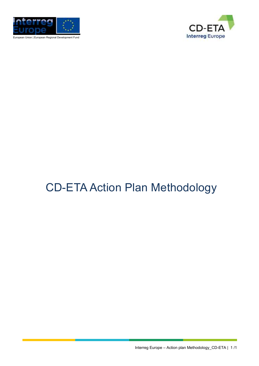

European Union | European Regional Development Fund



# CD-ETA Action Plan Methodology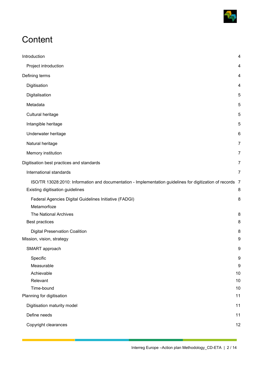

## **Content**

| Introduction                                                                                                                                   |                  |
|------------------------------------------------------------------------------------------------------------------------------------------------|------------------|
|                                                                                                                                                | 4                |
| Project introduction                                                                                                                           | 4                |
| Defining terms                                                                                                                                 | 4                |
| Digitisation                                                                                                                                   | 4                |
| Digitalisation                                                                                                                                 | 5                |
| Metadata                                                                                                                                       | 5                |
| Cultural heritage                                                                                                                              | 5                |
| Intangible heritage                                                                                                                            | 5                |
| Underwater heritage                                                                                                                            | 6                |
| Natural heritage                                                                                                                               | 7                |
| Memory institution                                                                                                                             | $\overline{7}$   |
| Digitisation best practices and standards                                                                                                      | $\overline{7}$   |
| International standards                                                                                                                        | $\overline{7}$   |
| ISO/TR 13028:2010: Information and documentation - Implementation guidelines for digitization of records 7<br>Existing digitisation guidelines | 8                |
| Federal Agencies Digital Guidelines Initiative (FADGI)                                                                                         | 8                |
| Metamorfoze                                                                                                                                    |                  |
| The National Archives                                                                                                                          | 8                |
| Best practices                                                                                                                                 | 8                |
| <b>Digital Preservation Coalition</b>                                                                                                          | 8                |
| Mission, vision, strategy                                                                                                                      | 9                |
| SMART approach                                                                                                                                 | $\boldsymbol{9}$ |
| Specific                                                                                                                                       | 9                |
| Measurable                                                                                                                                     | 9                |
| Achievable                                                                                                                                     | 10               |
| Relevant                                                                                                                                       | 10               |
| Time-bound                                                                                                                                     | 10               |
| Planning for digitisation                                                                                                                      | 11               |
| Digitisation maturity model                                                                                                                    | 11               |
| Define needs                                                                                                                                   | 11               |
| Copyright clearances                                                                                                                           | 12               |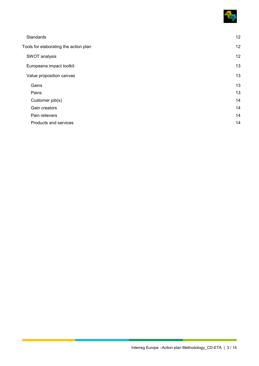

| Standards                             | 12 |
|---------------------------------------|----|
| Tools for elaborating the action plan | 12 |
| SWOT analysis                         | 12 |
| Europeana impact toolkit              | 13 |
| Value proposition canvas              | 13 |
| Gains                                 | 13 |
| Pains                                 | 13 |
| Customer job(s)                       | 14 |
| Gain creators                         | 14 |
| Pain relievers                        | 14 |
| Products and services                 | 14 |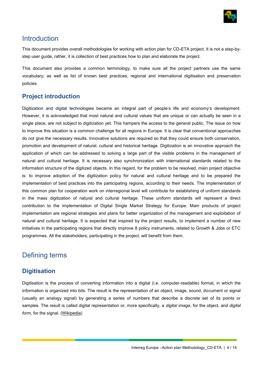

### <span id="page-3-0"></span>Introduction

This document provides overall methodologies for working with action plan for CD-ETA project. It is not a step-bystep user guide, rather, it is collection of best practices how to plan and elaborate the project.

This document also provides a common terminology, to make sure all the project partners use the same vocabulary; as well as list of known best practices, regional and international digitisation and preservation policies.

### <span id="page-3-1"></span>**Project introduction**

Digitization and digital technologies became an integral part of people's life and economy's development. However, it is acknowledged that most natural and cultural values that are unique or can actually be seen in a single place, are not subject to digitization yet. This hampers the access to the general public. The issue on how to improve this situation is a common challenge for all regions in Europe. It is clear that conventional approaches do not give the necessary results. Innovative solutions are required so that they could ensure both conservation, promotion and development of natural, cultural and historical heritage. Digitization is an innovative approach the application of which can be addressed to solving a large part of the visible problems in the management of natural and cultural heritage. It is necessary also synchronization with international standards related to the information structure of the digitized objects. In this regard, for the problem to be resolved, main project objective is: to improve adoption of the digitization policy for natural and cultural heritage and to be prepared the implementation of best practices into the participating regions, according to their needs. The implementation of this common plan for cooperation work on interregional level will contribute for establishing of uniform standards in the mass digitization of natural and cultural heritage. These uniform standards will represent a direct contribution to the implementation of Digital Single Market Strategy for Europe. Main products of project implementation are regional strategies and plans for better organization of the management and exploitation of natural and cultural heritage. It is expected that inspired by the project results, to implement a number of new initiatives in the participating regions that directly improve 8 policy instruments, related to Growth & Jobs or ETC programmes. All the stakeholders, participating in the project, will benefit from them.

### <span id="page-3-2"></span>Defining terms

### <span id="page-3-3"></span>**Digitisation**

Digitisation is the process of converting information into a digital (i.e. computer-readable) format, in which the information is organized into bits. The result is the representation of an object, image, sound, document or signal (usually an analogy signal) by generating a series of numbers that describe a discrete set of its points or samples. The result is called digital representation or, more specifically, a *digital image*, for the object, and *digital form*, for the signal. [\(Wikipedia\)](https://en.wikipedia.org/wiki/Digitization)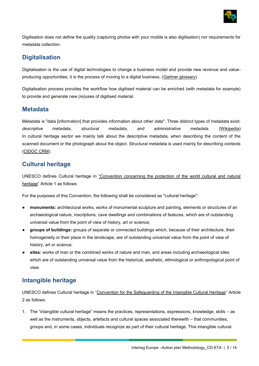

Digitisation does not define the quality (capturing photos with your mobile is also digitisation) nor requirements for metadata collection.

### <span id="page-4-0"></span>**Digitalisation**

Digitalisation is the use of digital technologies to change a business model and provide new revenue and value-producing opportunities; it is the process of moving to a digital business. [\(Gartner glossary\)](https://research.gartner.com/definition-whatis-digitalization?resId=3237920&srcId=1-8163325102)

Digitalisation process provides the workflow how digitised material can be enriched (with metadata for example) to provide and generate new (re)uses of digitised material.

#### <span id="page-4-1"></span>**Metadata**

Metadata is "data [information] that provides information about other data". Three distinct types of metadata exist: *descriptive metadata*, *structural metadata*, and *administrative metadata*. [\(Wikipedia\)](https://en.wikipedia.org/wiki/Metadata) In cultural heritage sector we mainly talk about the descriptive metadata, when describing the content of the scanned document or the photograph about the object. Structural metadata is used mainly for describing contexts [\(CIDOC CRM\)](http://www.cidoc-crm.org/).

### <span id="page-4-2"></span>**Cultural heritage**

UNESCO defines Cultural heritage in ["Convention concerning the protection of the world cultural and natural](http://whc.unesco.org/en/conventiontext/)  [heritage](http://whc.unesco.org/en/conventiontext/)" Article 1 as follows:

For the purposes of this Convention, the following shall be considered as "cultural heritage":

- **monuments:** architectural works, works of monumental sculpture and painting, elements or structures of an archaeological nature, inscriptions, cave dwellings and combinations of features, which are of outstanding universal value from the point of view of history, art or science;
- **groups of buildings:** groups of separate or connected buildings which, because of their architecture, their homogeneity or their place in the landscape, are of outstanding universal value from the point of view of history, art or science;
- sites: works of man or the combined works of nature and man, and areas including archaeological sites which are of outstanding universal value from the historical, aesthetic, ethnological or anthropological point of view.

### <span id="page-4-3"></span>**Intangible heritage**

UNESCO defines Cultural heritage in "[Convention for the Safeguarding of the Intangible Cultural Heritage](https://ich.unesco.org/en/convention)" Article 2 as follows:

1. The "intangible cultural heritage" means the practices, representations, expressions, knowledge, skills – as well as the instruments, objects, artefacts and cultural spaces associated therewith – that communities, groups and, in some cases, individuals recognize as part of their cultural heritage. This intangible cultural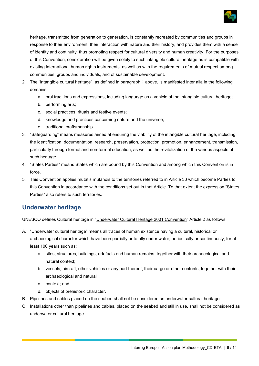

heritage, transmitted from generation to generation, is constantly recreated by communities and groups in response to their environment, their interaction with nature and their history, and provides them with a sense of identity and continuity, thus promoting respect for cultural diversity and human creativity. For the purposes of this Convention, consideration will be given solely to such intangible cultural heritage as is compatible with existing international human rights instruments, as well as with the requirements of mutual respect among communities, groups and individuals, and of sustainable development.

- 2. The "intangible cultural heritage", as defined in paragraph 1 above, is manifested inter alia in the following domains:
	- a. oral traditions and expressions, including language as a vehicle of the intangible cultural heritage;
	- b. performing arts;
	- c. social practices, rituals and festive events;
	- d. knowledge and practices concerning nature and the universe;
	- e. traditional craftsmanship.
- 3. "Safeguarding" means measures aimed at ensuring the viability of the intangible cultural heritage, including the identification, documentation, research, preservation, protection, promotion, enhancement, transmission, particularly through formal and non-formal education, as well as the revitalization of the various aspects of such heritage.
- 4. "States Parties" means States which are bound by this Convention and among which this Convention is in force.
- 5. This Convention applies mutatis mutandis to the territories referred to in Article 33 which become Parties to this Convention in accordance with the conditions set out in that Article. To that extent the expression "States Parties" also refers to such territories.

### <span id="page-5-0"></span>**Underwater heritage**

UNESCO defines Cultural heritage in "[Underwater Cultural Heritage 2001 Convention](http://www.unesco.org/new/en/culture/themes/underwater-cultural-heritage/2001-convention/official-text/)" Article 2 as follows:

- A. "Underwater cultural heritage" means all traces of human existence having a cultural, historical or archaeological character which have been partially or totally under water, periodically or continuously, for at least 100 years such as:
	- a. sites, structures, buildings, artefacts and human remains, together with their archaeological and natural context;
	- b. vessels, aircraft, other vehicles or any part thereof, their cargo or other contents, together with their archaeological and natural
	- c. context; and
	- d. objects of prehistoric character.
- B. Pipelines and cables placed on the seabed shall not be considered as underwater cultural heritage.
- C. Installations other than pipelines and cables, placed on the seabed and still in use, shall not be considered as underwater cultural heritage.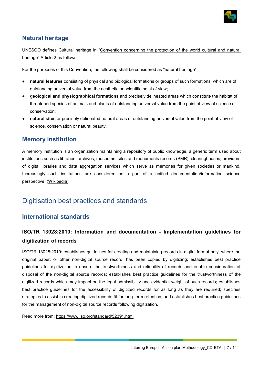

### <span id="page-6-0"></span>**Natural heritage**

UNESCO defines Cultural heritage in "[Convention concerning the protection of the world cultural and natural](http://whc.unesco.org/en/conventiontext/)  [heritage](http://whc.unesco.org/en/conventiontext/)" Article 2 as follows:

For the purposes of this Convention, the following shall be considered as "natural heritage":

- **natural features** consisting of physical and biological formations or groups of such formations, which are of outstanding universal value from the aesthetic or scientific point of view;
- **geological and physiographical formations** and precisely delineated areas which constitute the habitat of threatened species of animals and plants of outstanding universal value from the point of view of science or conservation;
- natural sites or precisely delineated natural areas of outstanding universal value from the point of view of science, conservation or natural beauty.

### <span id="page-6-1"></span>**Memory institution**

A memory institution is an organization maintaining a repository of public knowledge, a generic term used about institutions such as libraries, archives, museums, sites and monuments records (SMR), clearinghouses, providers of digital libraries and data aggregation services which serve as memories for given societies or mankind. Increasingly such institutions are considered as a part of a unified documentation/information science perspective. [\(Wikipedia\)](https://en.wikipedia.org/wiki/Memory_institution)

### <span id="page-6-2"></span>Digitisation best practices and standards

#### <span id="page-6-3"></span>**International standards**

### <span id="page-6-4"></span>**ISO/TR 13028:2010: Information and documentation - Implementation guidelines for digitization of records**

ISO/TR 13028:2010: establishes guidelines for creating and maintaining records in digital format only, where the original paper, or other non-digital source record, has been copied by digitizing; establishes best practice guidelines for digitization to ensure the trustworthiness and reliability of records and enable consideration of disposal of the non-digital source records; establishes best practice guidelines for the trustworthiness of the digitized records which may impact on the legal admissibility and evidential weight of such records; establishes best practice guidelines for the accessibility of digitized records for as long as they are required; specifies strategies to assist in creating digitized records fit for long-term retention; and establishes best practice guidelines for the management of non-digital source records following digitization.

Read more from:<https://www.iso.org/standard/52391.html>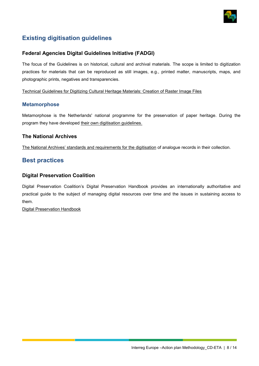

### <span id="page-7-0"></span>**Existing digitisation guidelines**

#### <span id="page-7-1"></span>**Federal Agencies Digital Guidelines Initiative (FADGI)**

The focus of the Guidelines is on historical, cultural and archival materials. The scope is limited to digitization practices for materials that can be reproduced as still images, e.g., printed matter, manuscripts, maps, and photographic prints, negatives and transparencies.

[Technical Guidelines for Digitizing Cultural Heritage Materials: Creation of Raster Image Files](http://www.digitizationguidelines.gov/guidelines/FADGI%20Federal%20%20Agencies%20Digital%20Guidelines%20Initiative-2016%20Final_rev1.pdf)

#### **Metamorphose**

Metamorphose is the Netherlands' national programme for the preservation of paper heritage. During the program they have developed [their own digitisation guidelines.](https://www.metamorfoze.nl/sites/metamorfoze.nl/files/publicatie_documenten/Metamorfoze_Preservation_Imaging_Guidelines_1.0.pdf)

#### <span id="page-7-2"></span>**The National Archives**

[The National Archives' standards and requirem](http://nationalarchives.gov.uk/documents/information-management/digitisation-at-the-national-archives.pdf)ents for the digitisation of analogue records in their collection.

#### <span id="page-7-3"></span>**Best practices**

#### <span id="page-7-4"></span>**Digital Preservation Coalition**

Digital Preservation Coalition's Digital Preservation Handbook provides an internationally authoritative and practical guide to the subject of managing digital resources over time and the issues in sustaining access to them.

[Digital Preservation Handbook](http://www.dpconline.org/handbook)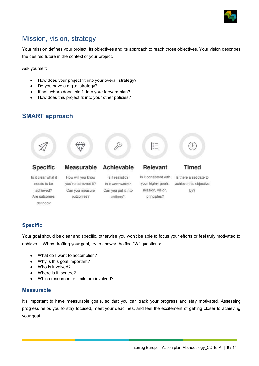

### <span id="page-8-0"></span>Mission, vision, strategy

Your mission defines your project, its objectives and its approach to reach those objectives. Your vision describes the desired future in the context of your project.

Ask yourself:

- How does your project fit into your overall strategy?
- Do you have a digital strategy?
- If not, where does this fit into your forward plan?
- How does this project fit into your other policies?

### <span id="page-8-1"></span>**SMART approach**



#### <span id="page-8-2"></span>**Specific**

Your goal should be clear and specific, otherwise you won't be able to focus your efforts or feel truly motivated to achieve it. When drafting your goal, try to answer the five "W" questions:

- What do I want to accomplish?
- Why is this goal important?
- Who is involved?
- Where is it located?
- Which resources or limits are involved?

#### <span id="page-8-3"></span>**Measurable**

It's important to have measurable goals, so that you can track your progress and stay motivated. Assessing progress helps you to stay focused, meet your deadlines, and feel the excitement of getting closer to achieving your goal.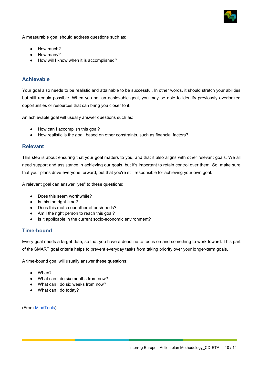

A measurable goal should address questions such as:

- How much?
- How many?
- How will I know when it is accomplished?

#### <span id="page-9-0"></span>**Achievable**

Your goal also needs to be realistic and attainable to be successful. In other words, it should stretch your abilities but still remain possible. When you set an achievable goal, you may be able to identify previously overlooked opportunities or resources that can bring you closer to it.

An achievable goal will usually answer questions such as:

- How can I accomplish this goal?
- How realistic is the goal, based on other constraints, such as financial factors?

#### <span id="page-9-1"></span>**Relevant**

This step is about ensuring that your goal matters to you, and that it also aligns with other relevant goals. We all need support and assistance in achieving our goals, but it's important to retain control over them. So, make sure that your plans drive everyone forward, but that you're still responsible for achieving your own goal.

A relevant goal can answer "yes" to these questions:

- Does this seem worthwhile?
- Is this the right time?
- Does this match our other efforts/needs?
- Am I the right person to reach this goal?
- Is it applicable in the current socio-economic environment?

#### <span id="page-9-2"></span>**Time-bound**

Every goal needs a target date, so that you have a deadline to focus on and something to work toward. This part of the SMART goal criteria helps to prevent everyday tasks from taking priority over your longer-term goals.

A time-bound goal will usually answer these questions:

- When?
- What can I do six months from now?
- What can I do six weeks from now?
- What can I do today?

(From [MindTools\)](https://www.mindtools.com/pages/article/smart-goals.htm)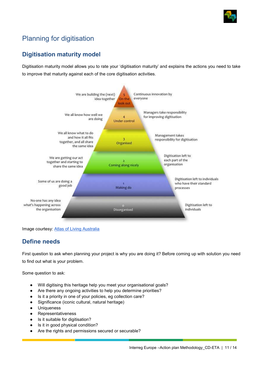

### <span id="page-10-0"></span>Planning for digitisation

### <span id="page-10-1"></span>**Digitisation maturity model**

Digitisation maturity model allows you to rate your 'digitisation maturity' and explains the actions you need to take to improve that maturity against each of the core digitisation activities.



Image courtesy: [Atlas of Living Australia](https://www.ala.org.au/who-we-are/digitisation-guidance/)

### <span id="page-10-2"></span>**Define needs**

First question to ask when planning your project is why you are doing it? Before coming up with solution you need to find out what is your problem.

Some question to ask:

- Will digitising this heritage help you meet your organisational goals?
- Are there any ongoing activities to help you determine priorities?
- Is it a priority in one of your policies, eg collection care?
- Significance (iconic cultural, natural heritage)
- Uniqueness
- **Representativeness**
- Is it suitable for digitisation?
- Is it in good physical condition?
- Are the rights and permissions secured or securable?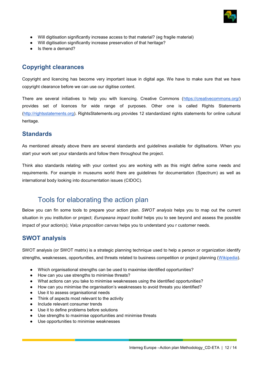

- Will digitisation significantly increase access to that material? (eg fragile material)
- Will digitisation significantly increase preservation of that heritage?
- Is there a demand?

### <span id="page-11-0"></span>**Copyright clearances**

Copyright and licencing has become very important issue in digital age. We have to make sure that we have copyright clearance before we can use our digitise content.

There are several initiatives to help you with licencing. Creative Commons [\(https://creativecommons.org/\)](https://creativecommons.org/) provides set of licences for wide range of purposes. Other one is called Rights Statements [\(http://rightsstatements.org\)](http://rightsstatements.org/). RightsStatements.org provides 12 standardized rights statements for online cultural heritage.

#### <span id="page-11-1"></span>**Standards**

As mentioned already above there are several standards and guidelines available for digitisations. When you start your work set your standards and follow them throughout the project.

Think also standards relating with your context you are working with as this might define some needs and requirements. For example in museums world there are guidelines for documentation (Spectrum) as well as international body looking into documentation issues (CIDOC).

### <span id="page-11-2"></span>Tools for elaborating the action plan

Below you can fin some tools to prepare your action plan. *SWOT analysis* helps you to map out the current situation in you institution or project; *Europeana impact toolkit* helps you to see beyond and assess the possible impact of your action(s); *Value proposition canvas* helps you to understand you r customer needs.

### <span id="page-11-3"></span>**SWOT analysis**

SWOT analysis (or SWOT matrix) is a strategic planning technique used to help a person or organization identify strengths, weaknesses, opportunities, and threats related to business competition or project planning [\(Wikipedia\)](https://en.wikipedia.org/wiki/SWOT_analysis).

- Which organisational strengths can be used to maximise identified opportunities?
- How can you use strengths to minimise threats?
- What actions can you take to minimise weaknesses using the identified opportunities?
- How can you minimise the organisation's weaknesses to avoid threats you identified?
- Use it to assess organisational needs
- Think of aspects most relevant to the activity
- Include relevant consumer trends
- Use it to define problems before solutions
- Use strengths to maximise opportunities and minimise threats
- Use opportunities to minimise weaknesses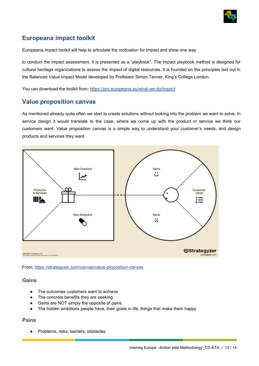

### <span id="page-12-0"></span>**Europeana impact toolkit**

Europeana impact toolkit will help to articulate the motivation for impact and show one way

to conduct the impact assessment. It is presented as a "playbook". The impact playbook method is designed for cultural heritage organizations to assess the impact of digital resources. It is founded on the principles laid out in the Balanced Value Impact Model developed by Professor Simon Tanner, King's College London.

You can download the toolkit from:<https://pro.europeana.eu/what-we-do/impact>

#### <span id="page-12-1"></span>**Value proposition canvas**

As mentioned already quite often we start to create solutions without looking into the problem we want to solve. In service design it would translate to the case, where we come up with the product or service we think our customers want. Value proposition canvas is a simple way to understand your customer's needs, and design products and services they want.



From:<https://strategyzer.com/canvas/value-proposition-canvas>

#### <span id="page-12-2"></span>**Gains**

- The outcomes customers want to achieve
- The concrete benefits they are seeking
- Gains are NOT simply the opposite of pains
- The hidden ambitions people have, their goals in life, things that make them happy

#### <span id="page-12-3"></span>**Pains**

Problems, risks, barriers, obstacles.